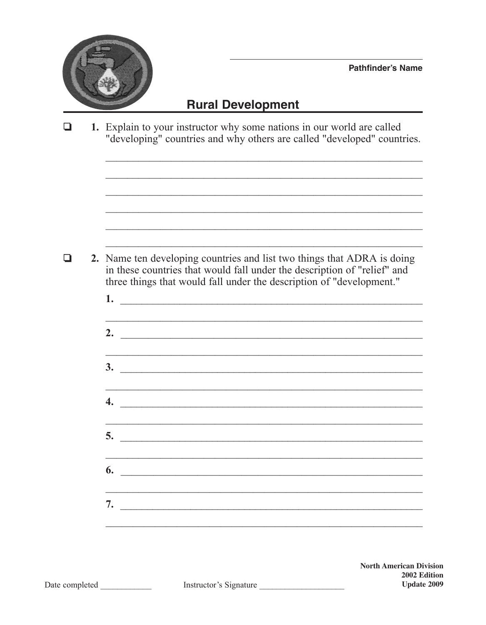

## **Rural Development**

 $\Box$ 1. Explain to your instructor why some nations in our world are called "developing" countries and why others are called "developed" countries.

- $\Box$ 2. Name ten developing countries and list two things that ADRA is doing in these countries that would fall under the description of "relief" and three things that would fall under the description of "development."
	- $1.$   $\frac{1}{2}$   $\frac{1}{2}$   $\frac{1}{2}$   $\frac{1}{2}$   $\frac{1}{2}$   $\frac{1}{2}$   $\frac{1}{2}$   $\frac{1}{2}$   $\frac{1}{2}$   $\frac{1}{2}$   $\frac{1}{2}$   $\frac{1}{2}$   $\frac{1}{2}$   $\frac{1}{2}$   $\frac{1}{2}$   $\frac{1}{2}$   $\frac{1}{2}$   $\frac{1}{2}$   $\frac{1}{2}$   $\frac{1}{2}$   $\frac{1}{2}$   $\frac{1}{$ 2.  $\overline{\phantom{a}}$  $\overline{\mathbf{3.}}$  $\overline{\mathbf{5}}$ .  $\mathfrak{b}.$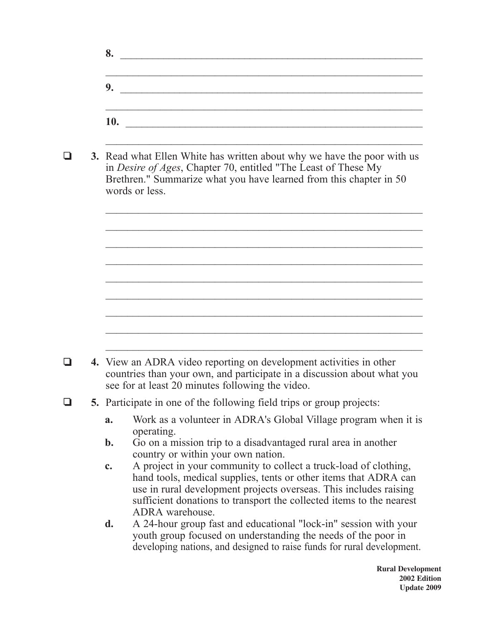| 9.         |  |  |
|------------|--|--|
|            |  |  |
|            |  |  |
| <b>10.</b> |  |  |

 $\mathcal{L}_\text{max}$  , and the contract of the contract of the contract of the contract of the contract of the contract of the contract of the contract of the contract of the contract of the contract of the contract of the contr

 $\mathcal{L}_\text{max}$  , and the contract of the contract of the contract of the contract of the contract of the contract of the contract of the contract of the contract of the contract of the contract of the contract of the contr

 $\mathcal{L}_\text{max}$  and the contract of the contract of the contract of the contract of the contract of the contract of

 $\mathcal{L}_\text{max}$  , and the contract of the contract of the contract of the contract of the contract of the contract of the contract of the contract of the contract of the contract of the contract of the contract of the contr

 $\mathcal{L}_\text{max}$  , and the contract of the contract of the contract of the contract of the contract of the contract of the contract of the contract of the contract of the contract of the contract of the contract of the contr

 $\mathcal{L}_\text{max}$  , and the contract of the contract of the contract of the contract of the contract of the contract of the contract of the contract of the contract of the contract of the contract of the contract of the contr

 $\mathcal{L}_\text{max}$  and the contract of the contract of the contract of the contract of the contract of the contract of

in *Desire of Ages*, Chapter 70, entitled "The Least of These My Brethren." Summarize what you have learned from this chapter in 50 words or less.

❏ **4.** View an ADRA video reporting on development activities in other countries than your own, and participate in a discussion about what you see for at least 20 minutes following the video.

## ❏ **5.** Participate in one of the following field trips or group projects:

- **a.** Work as a volunteer in ADRA's Global Village program when it is operating.
- **b.** Go on a mission trip to a disadvantaged rural area in another country or within your own nation.
- **c.** A project in your community to collect a truck-load of clothing, hand tools, medical supplies, tents or other items that ADRA can use in rural development projects overseas. This includes raising sufficient donations to transport the collected items to the nearest ADRA warehouse.
- **d.** A 24-hour group fast and educational "lock-in" session with your youth group focused on understanding the needs of the poor in developing nations, and designed to raise funds for rural development.